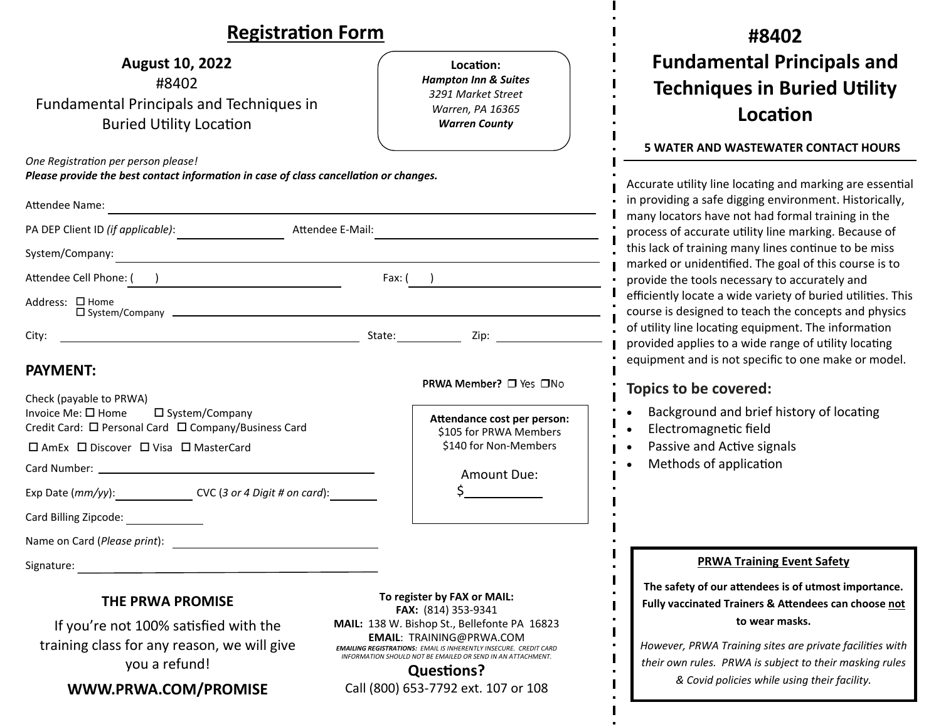## **RegistraƟon Form #8402August 10, 2022 Fundamental Principals and LocaƟon:***Hampton Inn & Suites*  #8402 **Techniques in Buried UƟlity** *3291 Market Street* Fundamental Principals and Techniques in *Warren, PA 16365*  **LocaƟonBuried Utility Location** *Warren County*  **5 WATER AND WASTEWATER CONTACT HOURS** *One RegistraƟon per person please! Please provide the best contact information in case of class cancellation or changes.* Accurate utility line locating and marking are essential in providing a safe digging environment. Historically, Attendee Name: many locators have not had formal training in the PA DEP Client ID (if applicable): Attendee E-Mail: process of accurate uƟlity line marking. Because of this lack of training many lines continue to be miss System/Company: marked or unidentified. The goal of this course is to Attendee Cell Phone: ( ) and Executive Cell Phone: ( ) Fax: ( ) and Fax: ( ) and Fax: ( ) and Tax: ( ) and Tax: ( ) and Tax: ( ) and Tax: ( ) and Tax: ( ) and Tax: ( ) and Tax: ( ) and Tax: ( ) and Tax: ( ) and Tax: ( ) an provide the tools necessary to accurately and efficiently locate a wide variety of buried utilities. This Address: □ Home System/Company course is designed to teach the concepts and physics of utility line locating equipment. The information City: 2ip: provided applies to a wide range of utility locating equipment and is not specific to one make or model. **PAYMENT:**PRWA Member? □ Yes □No **Topics to be covered:** Check (payable to PRWA) Background and brief history of locating Invoice Me:  $\square$  Home  $\square$  System/Company  $\bullet$ **AƩendance cost per person:** Credit Card: □ Personal Card □ Company/Business Card ElectromagneƟc field \$105 for PRWA Members  $\bullet$ \$140 for Non‐Members Passive and Active signals  $\square$  AmEx  $\square$  Discover  $\square$  Visa  $\square$  MasterCard  $\bullet$ Methods of application  $\bullet$ Card Number: Amount Due: Exp Date (*mm/yy*): CVC (*3 or 4 Digit # on card*): \$ Card Billing Zipcode: Name on Card (*Please print*): **PRWA Training Event Safety** Signature: the contract of the contract of the contract of the contract of the contract of the contract of the contract of the contract of the contract of the contract of the contract of the contract of the contract of the **The safety of our <sup>a</sup>Ʃendees is of utmost importance. To register by FAX or MAIL: THE PRWA PROMISE Fully vaccinated Trainers & AƩendees can choose not FAX:** (814) 353‐9341 **to wear masks.** If you're not 100% satisfied with the **MAIL:** 138 W. Bishop St., Bellefonte PA 16823 **EMAIL**: TRAINING@PRWA.COM training class for any reason, we will give *However, PRWA Training sites are private facilities with EMAILING REGISTRATIONS: EMAIL IS INHERENTLY INSECURE. CREDIT CARD INFORMATION SHOULD NOT BE EMAILED OR SEND IN AN ATTACHMENT.*you a refund! *their own rules. PRWA is subject to their masking rules*  **QuesƟons?** *& Covid policies while using their facility.***WWW.PRWA.COM/PROMISE** Call (800) 653‐7792 ext. 107 or 108